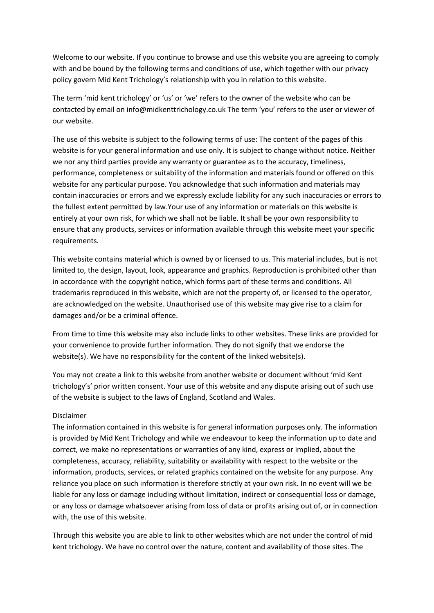Welcome to our website. If you continue to browse and use this website you are agreeing to comply with and be bound by the following terms and conditions of use, which together with our privacy policy govern Mid Kent Trichology's relationship with you in relation to this website.

The term 'mid kent trichology' or 'us' or 'we' refers to the owner of the website who can be contacted by email on info@midkenttrichology.co.uk The term 'you' refers to the user or viewer of our website.

The use of this website is subject to the following terms of use: The content of the pages of this website is for your general information and use only. It is subject to change without notice. Neither we nor any third parties provide any warranty or guarantee as to the accuracy, timeliness, performance, completeness or suitability of the information and materials found or offered on this website for any particular purpose. You acknowledge that such information and materials may contain inaccuracies or errors and we expressly exclude liability for any such inaccuracies or errors to the fullest extent permitted by law.Your use of any information or materials on this website is entirely at your own risk, for which we shall not be liable. It shall be your own responsibility to ensure that any products, services or information available through this website meet your specific requirements.

This website contains material which is owned by or licensed to us. This material includes, but is not limited to, the design, layout, look, appearance and graphics. Reproduction is prohibited other than in accordance with the copyright notice, which forms part of these terms and conditions. All trademarks reproduced in this website, which are not the property of, or licensed to the operator, are acknowledged on the website. Unauthorised use of this website may give rise to a claim for damages and/or be a criminal offence.

From time to time this website may also include links to other websites. These links are provided for your convenience to provide further information. They do not signify that we endorse the website(s). We have no responsibility for the content of the linked website(s).

You may not create a link to this website from another website or document without 'mid Kent trichology's' prior written consent. Your use of this website and any dispute arising out of such use of the website is subject to the laws of England, Scotland and Wales.

## Disclaimer

The information contained in this website is for general information purposes only. The information is provided by Mid Kent Trichology and while we endeavour to keep the information up to date and correct, we make no representations or warranties of any kind, express or implied, about the completeness, accuracy, reliability, suitability or availability with respect to the website or the information, products, services, or related graphics contained on the website for any purpose. Any reliance you place on such information is therefore strictly at your own risk. In no event will we be liable for any loss or damage including without limitation, indirect or consequential loss or damage, or any loss or damage whatsoever arising from loss of data or profits arising out of, or in connection with, the use of this website.

Through this website you are able to link to other websites which are not under the control of mid kent trichology. We have no control over the nature, content and availability of those sites. The